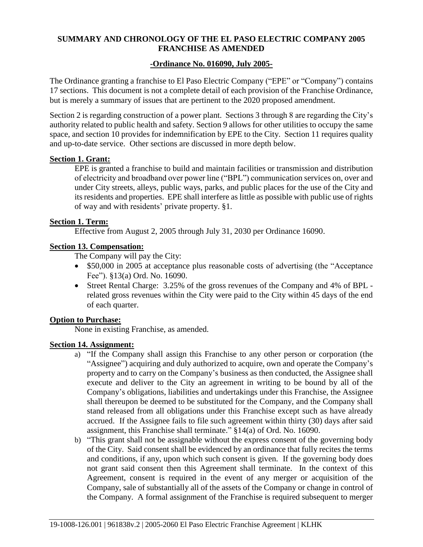## **SUMMARY AND CHRONOLOGY OF THE EL PASO ELECTRIC COMPANY 2005 FRANCHISE AS AMENDED**

## **-Ordinance No. 016090, July 2005-**

The Ordinance granting a franchise to El Paso Electric Company ("EPE" or "Company") contains 17 sections. This document is not a complete detail of each provision of the Franchise Ordinance, but is merely a summary of issues that are pertinent to the 2020 proposed amendment.

Section 2 is regarding construction of a power plant. Sections 3 through 8 are regarding the City's authority related to public health and safety. Section 9 allows for other utilities to occupy the same space, and section 10 provides for indemnification by EPE to the City. Section 11 requires quality and up-to-date service. Other sections are discussed in more depth below.

#### **Section 1. Grant:**

EPE is granted a franchise to build and maintain facilities or transmission and distribution of electricity and broadband over power line ("BPL") communication services on, over and under City streets, alleys, public ways, parks, and public places for the use of the City and its residents and properties. EPE shall interfere as little as possible with public use of rights of way and with residents' private property. §1.

#### **Section 1. Term:**

Effective from August 2, 2005 through July 31, 2030 per Ordinance 16090.

## **Section 13. Compensation:**

The Company will pay the City:

- \$50,000 in 2005 at acceptance plus reasonable costs of advertising (the "Acceptance Fee"). §13(a) Ord. No. 16090.
- Street Rental Charge: 3.25% of the gross revenues of the Company and 4% of BPL related gross revenues within the City were paid to the City within 45 days of the end of each quarter.

#### **Option to Purchase:**

None in existing Franchise, as amended.

#### **Section 14. Assignment:**

- a) "If the Company shall assign this Franchise to any other person or corporation (the "Assignee") acquiring and duly authorized to acquire, own and operate the Company's property and to carry on the Company's business as then conducted, the Assignee shall execute and deliver to the City an agreement in writing to be bound by all of the Company's obligations, liabilities and undertakings under this Franchise, the Assignee shall thereupon be deemed to be substituted for the Company, and the Company shall stand released from all obligations under this Franchise except such as have already accrued. If the Assignee fails to file such agreement within thirty (30) days after said assignment, this Franchise shall terminate." §14(a) of Ord. No. 16090.
- b) "This grant shall not be assignable without the express consent of the governing body of the City. Said consent shall be evidenced by an ordinance that fully recites the terms and conditions, if any, upon which such consent is given. If the governing body does not grant said consent then this Agreement shall terminate. In the context of this Agreement, consent is required in the event of any merger or acquisition of the Company, sale of substantially all of the assets of the Company or change in control of the Company. A formal assignment of the Franchise is required subsequent to merger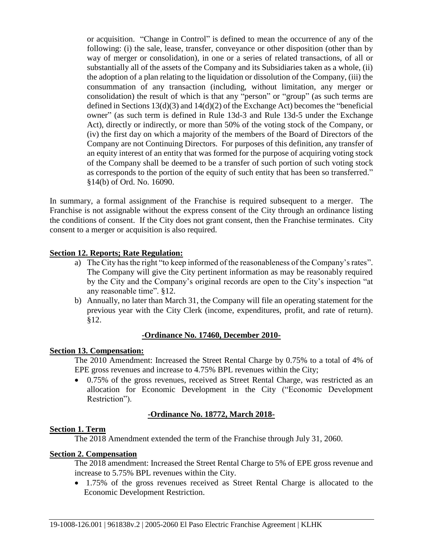or acquisition. "Change in Control" is defined to mean the occurrence of any of the following: (i) the sale, lease, transfer, conveyance or other disposition (other than by way of merger or consolidation), in one or a series of related transactions, of all or substantially all of the assets of the Company and its Subsidiaries taken as a whole, (ii) the adoption of a plan relating to the liquidation or dissolution of the Company, (iii) the consummation of any transaction (including, without limitation, any merger or consolidation) the result of which is that any "person" or "group" (as such terms are defined in Sections 13(d)(3) and 14(d)(2) of the Exchange Act) becomes the "beneficial owner" (as such term is defined in Rule 13d-3 and Rule 13d-5 under the Exchange Act), directly or indirectly, or more than 50% of the voting stock of the Company, or (iv) the first day on which a majority of the members of the Board of Directors of the Company are not Continuing Directors. For purposes of this definition, any transfer of an equity interest of an entity that was formed for the purpose of acquiring voting stock of the Company shall be deemed to be a transfer of such portion of such voting stock as corresponds to the portion of the equity of such entity that has been so transferred." §14(b) of Ord. No. 16090.

In summary, a formal assignment of the Franchise is required subsequent to a merger. The Franchise is not assignable without the express consent of the City through an ordinance listing the conditions of consent. If the City does not grant consent, then the Franchise terminates. City consent to a merger or acquisition is also required.

# **Section 12. Reports; Rate Regulation:**

- a) The City has the right "to keep informed of the reasonableness of the Company's rates". The Company will give the City pertinent information as may be reasonably required by the City and the Company's original records are open to the City's inspection "at any reasonable time". §12.
- b) Annually, no later than March 31, the Company will file an operating statement for the previous year with the City Clerk (income, expenditures, profit, and rate of return). §12.

#### **-Ordinance No. 17460, December 2010-**

#### **Section 13. Compensation:**

The 2010 Amendment: Increased the Street Rental Charge by 0.75% to a total of 4% of EPE gross revenues and increase to 4.75% BPL revenues within the City;

 0.75% of the gross revenues, received as Street Rental Charge, was restricted as an allocation for Economic Development in the City ("Economic Development Restriction").

#### **-Ordinance No. 18772, March 2018-**

#### **Section 1. Term**

The 2018 Amendment extended the term of the Franchise through July 31, 2060.

#### **Section 2. Compensation**

The 2018 amendment: Increased the Street Rental Charge to 5% of EPE gross revenue and increase to 5.75% BPL revenues within the City.

• 1.75% of the gross revenues received as Street Rental Charge is allocated to the Economic Development Restriction.